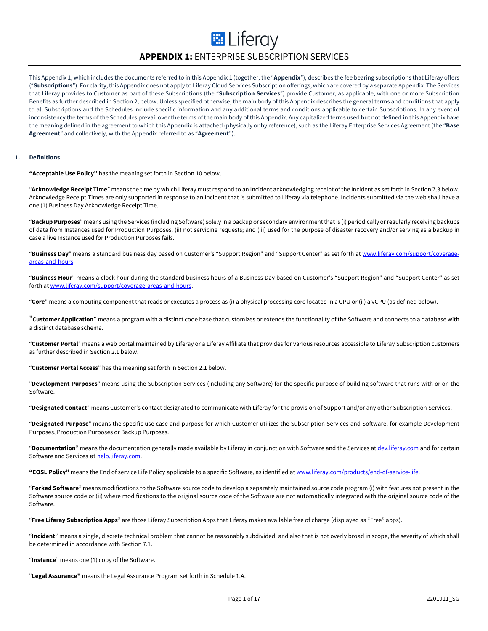# **E** Liferay **APPENDIX 1:** ENTERPRISE SUBSCRIPTION SERVICES

This Appendix 1, which includes the documents referred to in this Appendix 1 (together, the "**Appendix**"), describes the fee bearing subscriptions that Liferay offers ("**Subscriptions**"). For clarity, this Appendix does not apply to Liferay Cloud Services Subscription offerings, which are covered by a separate Appendix. The Services that Liferay provides to Customer as part of these Subscriptions (the "**Subscription Services**") provide Customer, as applicable, with one or more Subscription Benefits as further described in Section 2, below. Unless specified otherwise, the main body of this Appendix describes the general terms and conditions that apply to all Subscriptions and the Schedules include specific information and any additional terms and conditions applicable to certain Subscriptions. In any event of inconsistency the terms of the Schedules prevail over the terms of the main body of this Appendix. Any capitalized terms used but not defined in this Appendix have the meaning defined in the agreement to which this Appendix is attached (physically or by reference), such as the Liferay Enterprise Services Agreement (the "**Base Agreement**" and collectively, with the Appendix referred to as "**Agreement**").

### **1. Definitions**

**"Acceptable Use Policy"** has the meaning set forth in Section 10 below.

"**Acknowledge Receipt Time**" means the time by which Liferay must respond to an Incident acknowledging receipt of the Incident as set forth in Section 7.3 below. Acknowledge Receipt Times are only supported in response to an Incident that is submitted to Liferay via telephone. Incidents submitted via the web shall have a one (1) Business Day Acknowledge Receipt Time.

"**Backup Purposes**" means using the Services (including Software) solely in a backup or secondary environment that is (i) periodically or regularly receiving backups of data from Instances used for Production Purposes; (ii) not servicing requests; and (iii) used for the purpose of disaster recovery and/or serving as a backup in case a live Instance used for Production Purposes fails.

"**Business Day**" means a standard business day based on Customer's "Support Region" and "Support Center" as set forth at www.liferay.com/support/coverageareas-and-hours.

"**Business Hour**" means a clock hour during the standard business hours of a Business Day based on Customer's "Support Region" and "Support Center" as set forth at www.liferay.com/support/coverage-areas-and-hours.

"**Core**" means a computing component that reads or executes a process as (i) a physical processing core located in a CPU or (ii) a vCPU (as defined below).

"**Customer Application**" means a program with a distinct code base that customizes or extends the functionality of the Software and connects to a database with a distinct database schema.

"**Customer Portal**" means a web portal maintained by Liferay or a Liferay Affiliate that provides for various resources accessible to Liferay Subscription customers as further described in Section 2.1 below.

"**Customer Portal Access**" has the meaning set forth in Section 2.1 below.

"**Development Purposes**" means using the Subscription Services (including any Software) for the specific purpose of building software that runs with or on the Software.

"**Designated Contact**" means Customer's contact designated to communicate with Liferay for the provision of Support and/or any other Subscription Services.

"**Designated Purpose**" means the specific use case and purpose for which Customer utilizes the Subscription Services and Software, for example Development Purposes, Production Purposes or Backup Purposes.

"**Documentation**" means the documentation generally made available by Liferay in conjunction with Software and the Services at dev.liferay.com and for certain Software and Services at help.liferay.com.

**"EOSL Policy"** means the End of service Life Policy applicable to a specific Software, as identified at www.liferay.com/products/end-of-service-life.

"**Forked Software**" means modifications to the Software source code to develop a separately maintained source code program (i) with features not present in the Software source code or (ii) where modifications to the original source code of the Software are not automatically integrated with the original source code of the Software.

"**Free Liferay Subscription Apps**" are those Liferay Subscription Apps that Liferay makes available free of charge (displayed as "Free" apps).

"**Incident**" means a single, discrete technical problem that cannot be reasonably subdivided, and also that is not overly broad in scope, the severity of which shall be determined in accordance with Section 7.1.

"**Instance**" means one (1) copy of the Software.

"**Legal Assurance"** means the Legal Assurance Program set forth in Schedule 1.A.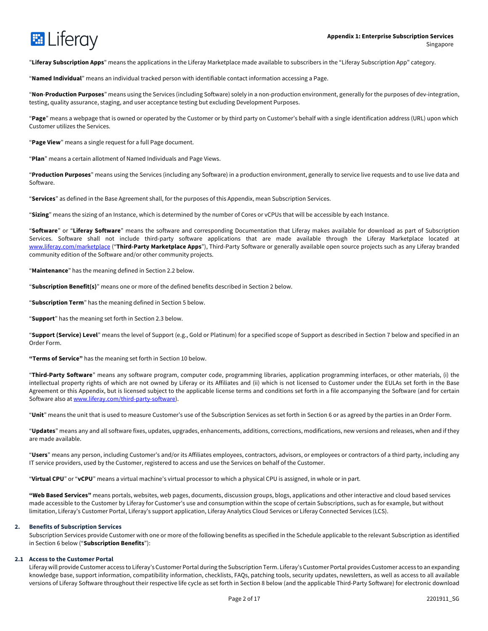

"**Liferay Subscription Apps**" means the applications in the Liferay Marketplace made available to subscribers in the "Liferay Subscription App" category.

"**Named Individual**" means an individual tracked person with identifiable contact information accessing a Page.

"**Non**-**Production Purposes**" means using the Services (including Software) solely in a non-production environment, generally for the purposes of dev-integration, testing, quality assurance, staging, and user acceptance testing but excluding Development Purposes.

"**Page**" means a webpage that is owned or operated by the Customer or by third party on Customer's behalf with a single identification address (URL) upon which Customer utilizes the Services.

"**Page View**" means a single request for a full Page document.

"**Plan**" means a certain allotment of Named Individuals and Page Views.

"**Production Purposes**" means using the Services (including any Software) in a production environment, generally to service live requests and to use live data and Software.

"**Services**" as defined in the Base Agreement shall, for the purposes of this Appendix, mean Subscription Services.

"**Sizing**" means the sizing of an Instance, which is determined by the number of Cores or vCPUs that will be accessible by each Instance.

"**Software**" or "**Liferay Software**" means the software and corresponding Documentation that Liferay makes available for download as part of Subscription Services. Software shall not include third-party software applications that are made available through the Liferay Marketplace located at www.liferay.com/marketplace ("**Third-Party Marketplace Apps**"), Third-Party Software or generally available open source projects such as any Liferay branded community edition of the Software and/or other community projects.

"**Maintenance**" has the meaning defined in Section 2.2 below.

"**Subscription Benefit(s)**" means one or more of the defined benefits described in Section 2 below.

"**Subscription Term**" has the meaning defined in Section 5 below.

"**Support**" has the meaning set forth in Section 2.3 below.

"**Support (Service) Level**" means the level of Support (e.g., Gold or Platinum) for a specified scope of Support as described in Section 7 below and specified in an Order Form.

**"Terms of Service"** has the meaning set forth in Section 10 below.

"**Third-Party Software**" means any software program, computer code, programming libraries, application programming interfaces, or other materials, (i) the intellectual property rights of which are not owned by Liferay or its Affiliates and (ii) which is not licensed to Customer under the EULAs set forth in the Base Agreement or this Appendix, but is licensed subject to the applicable license terms and conditions set forth in a file accompanying the Software (and for certain Software also at www.liferay.com/third-party-software).

"**Unit**" means the unit that is used to measure Customer's use of the Subscription Services as set forth in Section 6 or as agreed by the parties in an Order Form.

"**Updates**" means any and all software fixes, updates, upgrades, enhancements, additions, corrections, modifications, new versions and releases, when and if they are made available.

"**Users**" means any person, including Customer's and/or its Affiliates employees, contractors, advisors, or employees or contractors of a third party, including any IT service providers, used by the Customer, registered to access and use the Services on behalf of the Customer.

"**Virtual CPU**" or "**vCPU**" means a virtual machine's virtual processor to which a physical CPU is assigned, in whole or in part.

**"Web Based Services"** means portals, websites, web pages, documents, discussion groups, blogs, applications and other interactive and cloud based services made accessible to the Customer by Liferay for Customer's use and consumption within the scope of certain Subscriptions, such as for example, but without limitation, Liferay's Customer Portal, Liferay's support application, Liferay Analytics Cloud Services or Liferay Connected Services (LCS).

#### **2. Benefits of Subscription Services**

Subscription Services provide Customer with one or more of the following benefits as specified in the Schedule applicable to the relevant Subscription as identified in Section 6 below ("**Subscription Benefits**"):

### **2.1 Access to the Customer Portal**

Liferay will provide Customer access to Liferay's Customer Portal during the Subscription Term. Liferay's Customer Portal provides Customer access to an expanding knowledge base, support information, compatibility information, checklists, FAQs, patching tools, security updates, newsletters, as well as access to all available versions of Liferay Software throughout their respective life cycle as set forth in Section 8 below (and the applicable Third-Party Software) for electronic download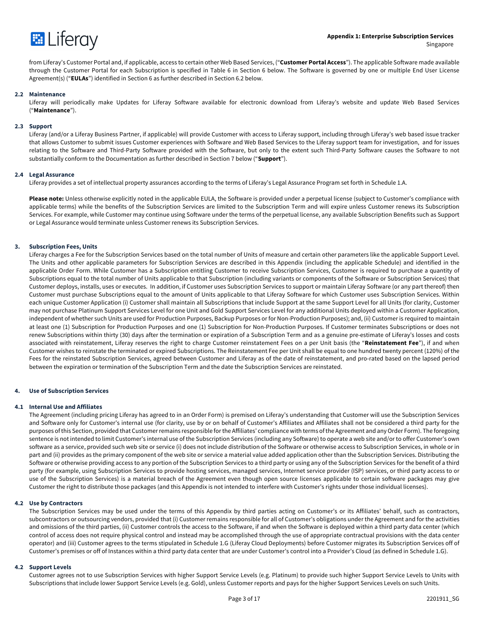

from Liferay's Customer Portal and, if applicable, access to certain other Web Based Services, ("**Customer Portal Access**"). The applicable Software made available through the Customer Portal for each Subscription is specified in Table 6 in Section 6 below. The Software is governed by one or multiple End User License Agreement(s) ("**EULAs**") identified in Section 6 as further described in Section 6.2 below.

### **2.2 Maintenance**

Liferay will periodically make Updates for Liferay Software available for electronic download from Liferay's website and update Web Based Services ("**Maintenance**").

#### **2.3 Support**

Liferay (and/or a Liferay Business Partner, if applicable) will provide Customer with access to Liferay support, including through Liferay's web based issue tracker that allows Customer to submit issues Customer experiences with Software and Web Based Services to the Liferay support team for investigation, and for issues relating to the Software and Third-Party Software provided with the Software, but only to the extent such Third-Party Software causes the Software to not substantially conform to the Documentation as further described in Section 7 below ("**Support**").

#### **2.4 Legal Assurance**

Liferay provides a set of intellectual property assurances according to the terms of Liferay's Legal Assurance Program set forth in Schedule 1.A.

**Please note:** Unless otherwise explicitly noted in the applicable EULA, the Software is provided under a perpetual license (subject to Customer's compliance with applicable terms) while the benefits of the Subscription Services are limited to the Subscription Term and will expire unless Customer renews its Subscription Services. For example, while Customer may continue using Software under the terms of the perpetual license, any available Subscription Benefits such as Support or Legal Assurance would terminate unless Customer renews its Subscription Services.

#### **3. Subscription Fees, Units**

Liferay charges a Fee for the Subscription Services based on the total number of Units of measure and certain other parameters like the applicable Support Level. The Units and other applicable parameters for Subscription Services are described in this Appendix (including the applicable Schedule) and identified in the applicable Order Form. While Customer has a Subscription entitling Customer to receive Subscription Services, Customer is required to purchase a quantity of Subscriptions equal to the total number of Units applicable to that Subscription (including variants or components of the Software or Subscription Services) that Customer deploys, installs, uses or executes. In addition, if Customer uses Subscription Services to support or maintain Liferay Software (or any part thereof) then Customer must purchase Subscriptions equal to the amount of Units applicable to that Liferay Software for which Customer uses Subscription Services. Within each unique Customer Application (i) Customer shall maintain all Subscriptions that include Support at the same Support Level for all Units (for clarity, Customer may not purchase Platinum Support Services Level for one Unit and Gold Support Services Level for any additional Units deployed within a Customer Application, independent of whether such Units are used for Production Purposes, Backup Purposes or for Non-Production Purposes); and, (ii) Customer is required to maintain at least one (1) Subscription for Production Purposes and one (1) Subscription for Non-Production Purposes. If Customer terminates Subscriptions or does not renew Subscriptions within thirty (30) days after the termination or expiration of a Subscription Term and as a genuine pre-estimate of Liferay's losses and costs associated with reinstatement, Liferay reserves the right to charge Customer reinstatement Fees on a per Unit basis (the "**Reinstatement Fee**"), if and when Customer wishes to reinstate the terminated or expired Subscriptions. The Reinstatement Fee per Unit shall be equal to one hundred twenty percent (120%) of the Fees for the reinstated Subscription Services, agreed between Customer and Liferay as of the date of reinstatement, and pro-rated based on the lapsed period between the expiration or termination of the Subscription Term and the date the Subscription Services are reinstated.

#### **4. Use of Subscription Services**

#### **4.1 Internal Use and Affiliates**

The Agreement (including pricing Liferay has agreed to in an Order Form) is premised on Liferay's understanding that Customer will use the Subscription Services and Software only for Customer's internal use (for clarity, use by or on behalf of Customer's Affiliates and Affiliates shall not be considered a third party for the purposes of this Section, provided that Customer remains responsible for the Affiliates' compliance with terms of the Agreement and any Order Form). The foregoing sentence is not intended to limit Customer's internal use of the Subscription Services (including any Software) to operate a web site and/or to offer Customer's own software as a service, provided such web site or service (i) does not include distribution of the Software or otherwise access to Subscription Services, in whole or in part and (ii) provides as the primary component of the web site or service a material value added application other than the Subscription Services. Distributing the Software or otherwise providing access to any portion of the Subscription Services to a third party or using any of the Subscription Services for the benefit of a third party (for example, using Subscription Services to provide hosting services, managed services, Internet service provider (ISP) services, or third party access to or use of the Subscription Services) is a material breach of the Agreement even though open source licenses applicable to certain software packages may give Customer the right to distribute those packages (and this Appendix is not intended to interfere with Customer's rights under those individual licenses).

#### **4.2 Use by Contractors**

The Subscription Services may be used under the terms of this Appendix by third parties acting on Customer's or its Affiliates' behalf, such as contractors, subcontractors or outsourcing vendors, provided that (i) Customer remains responsible for all of Customer's obligations under the Agreement and for the activities and omissions of the third parties, (ii) Customer controls the access to the Software, if and when the Software is deployed within a third party data center (which control of access does not require physical control and instead may be accomplished through the use of appropriate contractual provisions with the data center operator) and (iii) Customer agrees to the terms stipulated in Schedule 1.G (Liferay Cloud Deployments) before Customer migrates its Subscription Services off of Customer's premises or off of Instances within a third party data center that are under Customer's control into a Provider's Cloud (as defined in Schedule 1.G).

#### **4.2 Support Levels**

Customer agrees not to use Subscription Services with higher Support Service Levels (e.g. Platinum) to provide such higher Support Service Levels to Units with Subscriptions that include lower Support Service Levels (e.g. Gold), unless Customer reports and pays for the higher Support Services Levels on such Units.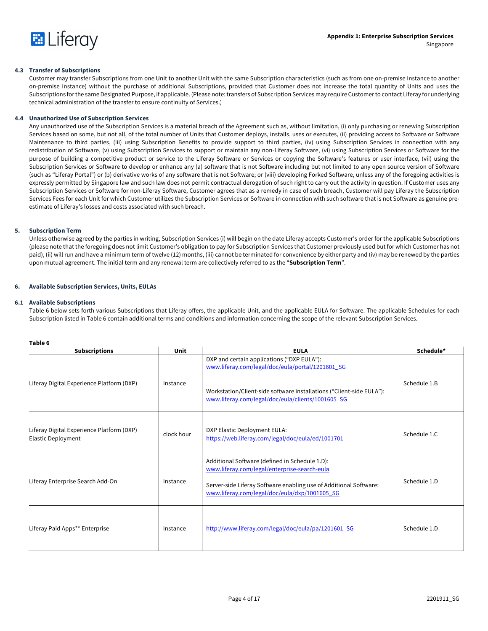

# **4.3 Transfer of Subscriptions**

Customer may transfer Subscriptions from one Unit to another Unit with the same Subscription characteristics (such as from one on-premise Instance to another on-premise Instance) without the purchase of additional Subscriptions, provided that Customer does not increase the total quantity of Units and uses the Subscriptions for the same Designated Purpose, if applicable. (Please note: transfers of Subscription Services may require Customer to contact Liferay for underlying technical administration of the transfer to ensure continuity of Services.)

# **4.4 Unauthorized Use of Subscription Services**

Any unauthorized use of the Subscription Services is a material breach of the Agreement such as, without limitation, (i) only purchasing or renewing Subscription Services based on some, but not all, of the total number of Units that Customer deploys, installs, uses or executes, (ii) providing access to Software or Software Maintenance to third parties, (iii) using Subscription Benefits to provide support to third parties, (iv) using Subscription Services in connection with any redistribution of Software, (v) using Subscription Services to support or maintain any non-Liferay Software, (vi) using Subscription Services or Software for the purpose of building a competitive product or service to the Liferay Software or Services or copying the Software's features or user interface, (vii) using the Subscription Services or Software to develop or enhance any (a) software that is not Software including but not limited to any open source version of Software (such as "Liferay Portal") or (b) derivative works of any software that is not Software; or (viii) developing Forked Software, unless any of the foregoing activities is expressly permitted by Singapore law and such law does not permit contractual derogation of such right to carry out the activity in question. If Customer uses any Subscription Services or Software for non-Liferay Software, Customer agrees that as a remedy in case of such breach, Customer will pay Liferay the Subscription Services Fees for each Unit for which Customer utilizes the Subscription Services or Software in connection with such software that is not Software as genuine preestimate of Liferay's losses and costs associated with such breach.

# **5. Subscription Term**

Unless otherwise agreed by the parties in writing, Subscription Services (i) will begin on the date Liferay accepts Customer's order for the applicable Subscriptions (please note that the foregoing does not limit Customer's obligation to pay for Subscription Services that Customer previously used but for which Customer has not paid), (ii) will run and have a minimum term of twelve (12) months, (iii) cannot be terminated for convenience by either party and (iv) may be renewed by the parties upon mutual agreement. The initial term and any renewal term are collectively referred to as the "**Subscription Term**".

# **6. Available Subscription Services, Units, EULAs**

# **6.1 Available Subscriptions**

Table 6 below sets forth various Subscriptions that Liferay offers, the applicable Unit, and the applicable EULA for Software. The applicable Schedules for each Subscription listed in Table 6 contain additional terms and conditions and information concerning the scope of the relevant Subscription Services.

| Table 6                                                                |            |                                                                                                                                                                                                                      |              |
|------------------------------------------------------------------------|------------|----------------------------------------------------------------------------------------------------------------------------------------------------------------------------------------------------------------------|--------------|
| <b>Subscriptions</b>                                                   | Unit       | <b>EULA</b>                                                                                                                                                                                                          | Schedule*    |
| Liferay Digital Experience Platform (DXP)                              |            | DXP and certain applications ("DXP EULA"):<br>www.liferay.com/legal/doc/eula/portal/1201601_SG                                                                                                                       |              |
|                                                                        | Instance   | Workstation/Client-side software installations ("Client-side EULA"):<br>www.liferay.com/legal/doc/eula/clients/1001605 SG                                                                                            | Schedule 1.B |
| Liferay Digital Experience Platform (DXP)<br><b>Elastic Deployment</b> | clock hour | DXP Elastic Deployment EULA:<br>https://web.liferay.com/legal/doc/eula/ed/1001701                                                                                                                                    | Schedule 1.C |
| Liferay Enterprise Search Add-On                                       | Instance   | Additional Software (defined in Schedule 1.D):<br>www.liferay.com/legal/enterprise-search-eula<br>Server-side Liferay Software enabling use of Additional Software:<br>www.liferay.com/legal/doc/eula/dxp/1001605_SG | Schedule 1.D |
| Liferay Paid Apps** Enterprise                                         | Instance   | http://www.liferay.com/legal/doc/eula/pa/1201601 SG                                                                                                                                                                  | Schedule 1.D |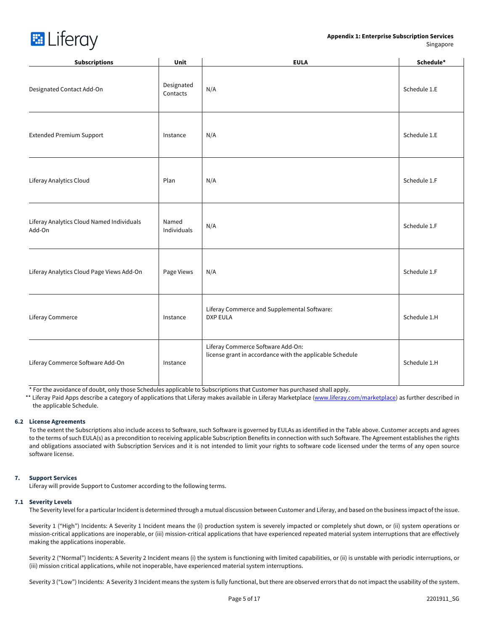# **Appendix 1: Enterprise Subscription Services**  Singapore



| <b>Subscriptions</b>                                | Unit                   | <b>EULA</b>                                                                                   | Schedule*    |
|-----------------------------------------------------|------------------------|-----------------------------------------------------------------------------------------------|--------------|
| Designated Contact Add-On                           | Designated<br>Contacts | N/A                                                                                           | Schedule 1.E |
| <b>Extended Premium Support</b>                     | Instance               | N/A                                                                                           | Schedule 1.E |
| Liferay Analytics Cloud                             | Plan                   | N/A                                                                                           | Schedule 1.F |
| Liferay Analytics Cloud Named Individuals<br>Add-On | Named<br>Individuals   | N/A                                                                                           | Schedule 1.F |
| Liferay Analytics Cloud Page Views Add-On           | Page Views             | N/A                                                                                           | Schedule 1.F |
| Liferay Commerce                                    | Instance               | Liferay Commerce and Supplemental Software:<br><b>DXP EULA</b>                                | Schedule 1.H |
| Liferay Commerce Software Add-On                    | Instance               | Liferay Commerce Software Add-On:<br>license grant in accordance with the applicable Schedule | Schedule 1.H |

\* For the avoidance of doubt, only those Schedules applicable to Subscriptions that Customer has purchased shall apply.

\*\* Liferay Paid Apps describe a category of applications that Liferay makes available in Liferay Marketplace (www.liferay.com/marketplace) as further described in the applicable Schedule.

#### **6.2 License Agreements**

To the extent the Subscriptions also include access to Software, such Software is governed by EULAs as identified in the Table above. Customer accepts and agrees to the terms of such EULA(s) as a precondition to receiving applicable Subscription Benefits in connection with such Software. The Agreement establishes the rights and obligations associated with Subscription Services and it is not intended to limit your rights to software code licensed under the terms of any open source software license.

# **7. Support Services**

Liferay will provide Support to Customer according to the following terms.

#### **7.1 Severity Levels**

The Severity level for a particular Incident is determined through a mutual discussion between Customer and Liferay, and based on the business impact of the issue.

Severity 1 ("High") Incidents: A Severity 1 Incident means the (i) production system is severely impacted or completely shut down, or (ii) system operations or mission-critical applications are inoperable, or (iii) mission-critical applications that have experienced repeated material system interruptions that are effectively making the applications inoperable.

Severity 2 ("Normal") Incidents: A Severity 2 Incident means (i) the system is functioning with limited capabilities, or (ii) is unstable with periodic interruptions, or (iii) mission critical applications, while not inoperable, have experienced material system interruptions.

Severity 3 ("Low") Incidents: A Severity 3 Incident means the system is fully functional, but there are observed errors that do not impact the usability of the system.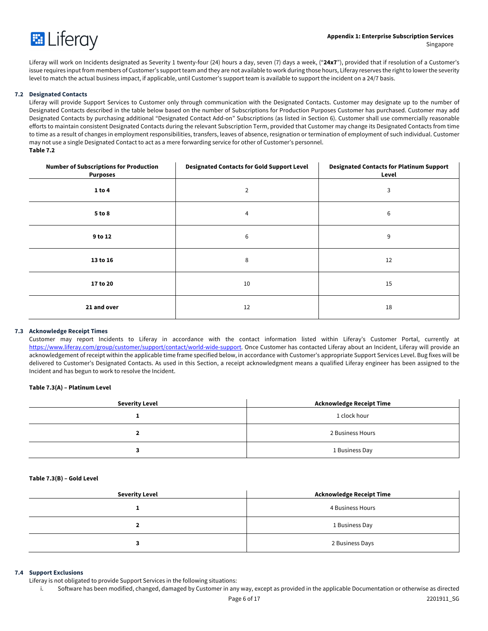

Liferay will work on Incidents designated as Severity 1 twenty-four (24) hours a day, seven (7) days a week, ("**24x7**"), provided that if resolution of a Customer's issue requires input from members of Customer's support team and they are not available to work during those hours, Liferay reserves the right to lower the severity level to match the actual business impact, if applicable, until Customer's support team is available to support the incident on a 24/7 basis.

### **7.2 Designated Contacts**

Liferay will provide Support Services to Customer only through communication with the Designated Contacts. Customer may designate up to the number of Designated Contacts described in the table below based on the number of Subscriptions for Production Purposes Customer has purchased. Customer may add Designated Contacts by purchasing additional "Designated Contact Add-on" Subscriptions (as listed in Section 6). Customer shall use commercially reasonable efforts to maintain consistent Designated Contacts during the relevant Subscription Term, provided that Customer may change its Designated Contacts from time to time as a result of changes in employment responsibilities, transfers, leaves of absence, resignation or termination of employment of such individual. Customer may not use a single Designated Contact to act as a mere forwarding service for other of Customer's personnel. **Table 7.2**

| <b>Number of Subscriptions for Production</b><br><b>Purposes</b> | <b>Designated Contacts for Gold Support Level</b> | <b>Designated Contacts for Platinum Support</b><br>Level |
|------------------------------------------------------------------|---------------------------------------------------|----------------------------------------------------------|
| 1 to 4                                                           | $\overline{2}$                                    | 3                                                        |
| 5 to 8                                                           | 4                                                 | 6                                                        |
| 9 to 12                                                          | 6                                                 | 9                                                        |
| 13 to 16                                                         | 8                                                 | 12                                                       |
| 17 to 20                                                         | 10                                                | 15                                                       |
| 21 and over                                                      | 12                                                | 18                                                       |

#### **7.3 Acknowledge Receipt Times**

Customer may report Incidents to Liferay in accordance with the contact information listed within Liferay's Customer Portal, currently at https://www.liferay.com/group/customer/support/contact/world-wide-support. Once Customer has contacted Liferay about an Incident, Liferay will provide an acknowledgement of receipt within the applicable time frame specified below, in accordance with Customer's appropriate Support Services Level. Bug fixes will be delivered to Customer's Designated Contacts. As used in this Section, a receipt acknowledgment means a qualified Liferay engineer has been assigned to the Incident and has begun to work to resolve the Incident.

#### **Table 7.3(A) – Platinum Level**

| <b>Severity Level</b> | Acknowledge Receipt Time |
|-----------------------|--------------------------|
|                       | 1 clock hour             |
|                       | 2 Business Hours         |
|                       | 1 Business Day           |

#### **Table 7.3(B) – Gold Level**

| <b>Severity Level</b> | <b>Acknowledge Receipt Time</b> |
|-----------------------|---------------------------------|
|                       | 4 Business Hours                |
|                       | 1 Business Day                  |
|                       | 2 Business Days                 |

# **7.4 Support Exclusions**

Liferay is not obligated to provide Support Services in the following situations:

i. Software has been modified, changed, damaged by Customer in any way, except as provided in the applicable Documentation or otherwise as directed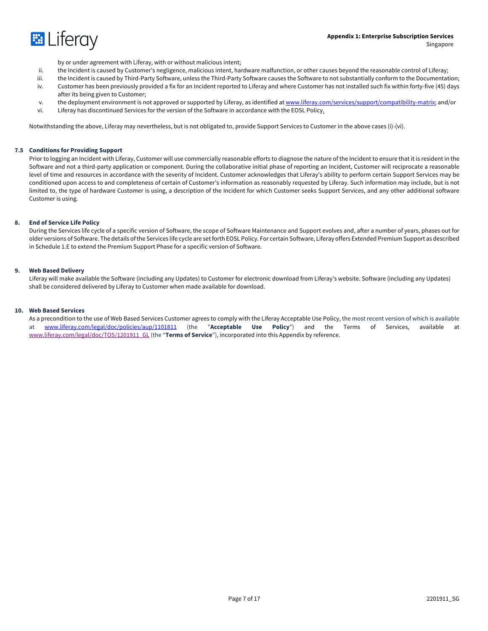

by or under agreement with Liferay, with or without malicious intent;

- ii. the Incident is caused by Customer's negligence, malicious intent, hardware malfunction, or other causes beyond the reasonable control of Liferay;
- iii. the Incident is caused by Third-Party Software, unless the Third-Party Software causes the Software to not substantially conform to the Documentation;
- iv. Customer has been previously provided a fix for an Incident reported to Liferay and where Customer has not installed such fix within forty-five (45) days after its being given to Customer;
- v. the deployment environment is not approved or supported by Liferay, as identified at www.liferay.com/services/support/compatibility-matrix; and/or
- vi. Liferay has discontinued Services for the version of the Software in accordance with the EOSL Policy.

Notwithstanding the above, Liferay may nevertheless, but is not obligated to, provide Support Services to Customer in the above cases (i)-(vi).

#### **7.5 Conditions for Providing Support**

Prior to logging an Incident with Liferay, Customer will use commercially reasonable efforts to diagnose the nature of the Incident to ensure that it is resident in the Software and not a third-party application or component. During the collaborative initial phase of reporting an Incident, Customer will reciprocate a reasonable level of time and resources in accordance with the severity of Incident. Customer acknowledges that Liferay's ability to perform certain Support Services may be conditioned upon access to and completeness of certain of Customer's information as reasonably requested by Liferay. Such information may include, but is not limited to, the type of hardware Customer is using, a description of the Incident for which Customer seeks Support Services, and any other additional software Customer is using.

### **8. End of Service Life Policy**

During the Services life cycle of a specific version of Software, the scope of Software Maintenance and Support evolves and, after a number of years, phases out for older versions of Software. The details of the Services life cycle are set forth EOSL Policy. For certain Software, Liferay offers Extended Premium Support as described in Schedule 1.E to extend the Premium Support Phase for a specific version of Software.

#### **9. Web Based Delivery**

Liferay will make available the Software (including any Updates) to Customer for electronic download from Liferay's website. Software (including any Updates) shall be considered delivered by Liferay to Customer when made available for download.

#### **10. Web Based Services**

As a precondition to the use of Web Based Services Customer agrees to comply with the Liferay Acceptable Use Policy, the most recent version of which is available at www.liferay.com/legal/doc/policies/aup/1101811 (the "**Acceptable Use Policy**") and the Terms of Services, available at www.liferay.com/legal/doc/TOS/1201911\_GL (the "**Terms of Service**"), incorporated into this Appendix by reference.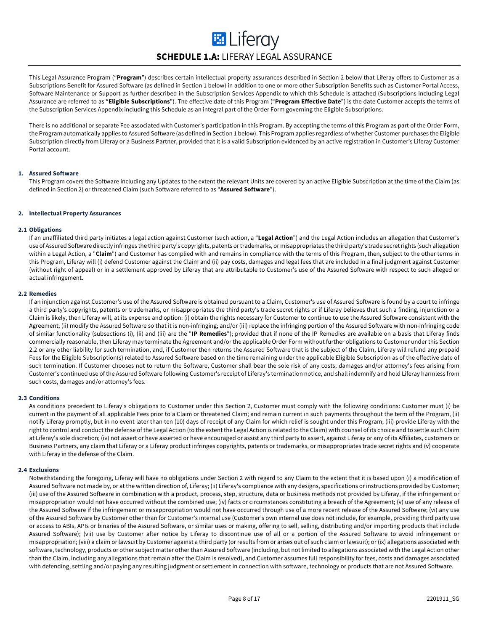# **ED** Liferay **SCHEDULE 1.A:** LIFERAY LEGAL ASSURANCE

This Legal Assurance Program ("**Program**") describes certain intellectual property assurances described in Section 2 below that Liferay offers to Customer as a Subscriptions Benefit for Assured Software (as defined in Section 1 below) in addition to one or more other Subscription Benefits such as Customer Portal Access, Software Maintenance or Support as further described in the Subscription Services Appendix to which this Schedule is attached (Subscriptions including Legal Assurance are referred to as "**Eligible Subscriptions**"). The effective date of this Program ("**Program Effective Date**") is the date Customer accepts the terms of the Subscription Services Appendix including this Schedule as an integral part of the Order Form governing the Eligible Subscriptions.

There is no additional or separate Fee associated with Customer's participation in this Program. By accepting the terms of this Program as part of the Order Form, the Program automatically applies to Assured Software (as defined in Section 1 below). This Program applies regardless of whether Customer purchases the Eligible Subscription directly from Liferay or a Business Partner, provided that it is a valid Subscription evidenced by an active registration in Customer's Liferay Customer Portal account.

# **1. Assured Software**

This Program covers the Software including any Updates to the extent the relevant Units are covered by an active Eligible Subscription at the time of the Claim (as defined in Section 2) or threatened Claim (such Software referred to as "**Assured Software**").

# **2. Intellectual Property Assurances**

#### **2.1 Obligations**

If an unaffiliated third party initiates a legal action against Customer (such action, a "**Legal Action**") and the Legal Action includes an allegation that Customer's use of Assured Software directly infringes the third party's copyrights, patents or trademarks, or misappropriates the third party's trade secret rights (such allegation within a Legal Action, a "Claim") and Customer has complied with and remains in compliance with the terms of this Program, then, subject to the other terms in this Program, Liferay will (i) defend Customer against the Claim and (ii) pay costs, damages and legal fees that are included in a final judgment against Customer (without right of appeal) or in a settlement approved by Liferay that are attributable to Customer's use of the Assured Software with respect to such alleged or actual infringement.

# **2.2 Remedies**

If an injunction against Customer's use of the Assured Software is obtained pursuant to a Claim, Customer's use of Assured Software is found by a court to infringe a third party's copyrights, patents or trademarks, or misappropriates the third party's trade secret rights or if Liferay believes that such a finding, injunction or a Claim is likely, then Liferay will, at its expense and option: (i) obtain the rights necessary for Customer to continue to use the Assured Software consistent with the Agreement; (ii) modify the Assured Software so that it is non-infringing; and/or (iii) replace the infringing portion of the Assured Software with non-infringing code of similar functionality (subsections (i), (ii) and (iii) are the "**IP Remedies**"); provided that if none of the IP Remedies are available on a basis that Liferay finds commercially reasonable, then Liferay may terminate the Agreement and/or the applicable Order Form without further obligations to Customer under this Section 2.2 or any other liability for such termination, and, if Customer then returns the Assured Software that is the subject of the Claim, Liferay will refund any prepaid Fees for the Eligible Subscription(s) related to Assured Software based on the time remaining under the applicable Eligible Subscription as of the effective date of such termination. If Customer chooses not to return the Software, Customer shall bear the sole risk of any costs, damages and/or attorney's fees arising from Customer's continued use of the Assured Software following Customer's receipt of Liferay's termination notice, and shall indemnify and hold Liferay harmless from such costs, damages and/or attorney's fees.

# **2.3 Conditions**

As conditions precedent to Liferay's obligations to Customer under this Section 2, Customer must comply with the following conditions: Customer must (i) be current in the payment of all applicable Fees prior to a Claim or threatened Claim; and remain current in such payments throughout the term of the Program, (ii) notify Liferay promptly, but in no event later than ten (10) days of receipt of any Claim for which relief is sought under this Program; (iii) provide Liferay with the right to control and conduct the defense of the Legal Action (to the extent the Legal Action is related to the Claim) with counsel of its choice and to settle such Claim at Liferay's sole discretion; (iv) not assert or have asserted or have encouraged or assist any third party to assert, against Liferay or any of its Affiliates, customers or Business Partners, any claim that Liferay or a Liferay product infringes copyrights, patents or trademarks, or misappropriates trade secret rights and (v) cooperate with Liferay in the defense of the Claim.

#### **2.4 Exclusions**

Notwithstanding the foregoing, Liferay will have no obligations under Section 2 with regard to any Claim to the extent that it is based upon (i) a modification of Assured Software not made by, or at the written direction of, Liferay; (ii) Liferay's compliance with any designs, specifications or instructions provided by Customer; (iii) use of the Assured Software in combination with a product, process, step, structure, data or business methods not provided by Liferay, if the infringement or misappropriation would not have occurred without the combined use; (iv) facts or circumstances constituting a breach of the Agreement; (v) use of any release of the Assured Software if the infringement or misappropriation would not have occurred through use of a more recent release of the Assured Software; (vi) any use of the Assured Software by Customer other than for Customer's internal use (Customer's own internal use does not include, for example, providing third party use or access to ABIs, APIs or binaries of the Assured Software, or similar uses or making, offering to sell, selling, distributing and/or importing products that include Assured Software); (vii) use by Customer after notice by Liferay to discontinue use of all or a portion of the Assured Software to avoid infringement or misappropriation; (viii) a claim or lawsuit by Customer against a third party (or results from or arises out of such claim or lawsuit); or (ix) allegations associated with software, technology, products or other subject matter other than Assured Software (including, but not limited to allegations associated with the Legal Action other than the Claim, including any allegations that remain after the Claim is resolved), and Customer assumes full responsibility for fees, costs and damages associated with defending, settling and/or paying any resulting judgment or settlement in connection with software, technology or products that are not Assured Software.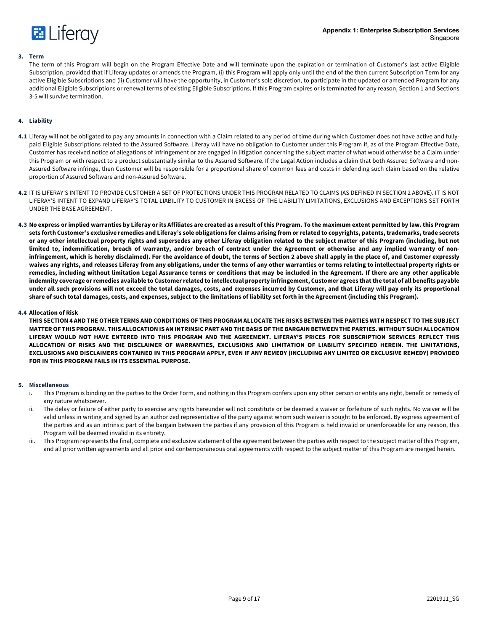

#### **3. Term**

The term of this Program will begin on the Program Effective Date and will terminate upon the expiration or termination of Customer's last active Eligible Subscription, provided that if Liferay updates or amends the Program, (i) this Program will apply only until the end of the then current Subscription Term for any active Eligible Subscriptions and (ii) Customer will have the opportunity, in Customer's sole discretion, to participate in the updated or amended Program for any additional Eligible Subscriptions or renewal terms of existing Eligible Subscriptions. If this Program expires or is terminated for any reason, Section 1 and Sections 3-5 will survive termination.

# **4. Liability**

- **4.1** Liferay will not be obligated to pay any amounts in connection with a Claim related to any period of time during which Customer does not have active and fullypaid Eligible Subscriptions related to the Assured Software. Liferay will have no obligation to Customer under this Program if, as of the Program Effective Date, Customer has received notice of allegations of infringement or are engaged in litigation concerning the subject matter of what would otherwise be a Claim under this Program or with respect to a product substantially similar to the Assured Software. If the Legal Action includes a claim that both Assured Software and non-Assured Software infringe, then Customer will be responsible for a proportional share of common fees and costs in defending such claim based on the relative proportion of Assured Software and non-Assured Software.
- **4.2** IT IS LIFERAY'S INTENT TO PROVIDE CUSTOMER A SET OF PROTECTIONS UNDER THIS PROGRAM RELATED TO CLAIMS (AS DEFINED IN SECTION 2 ABOVE). IT IS NOT LIFERAY'S INTENT TO EXPAND LIFERAY'S TOTAL LIABILITY TO CUSTOMER IN EXCESS OF THE LIABILITY LIMITATIONS, EXCLUSIONS AND EXCEPTIONS SET FORTH UNDER THE BASE AGREEMENT.
- **4.3 No express or implied warranties by Liferay or its Affiliates are created as a result of this Program. To the maximum extent permitted by law. this Program sets forth Customer's exclusive remedies and Liferay's sole obligations for claims arising from or related to copyrights, patents, trademarks, trade secrets or any other intellectual property rights and supersedes any other Liferay obligation related to the subject matter of this Program (including, but not limited to, indemnification, breach of warranty, and/or breach of contract under the Agreement or otherwise and any implied warranty of noninfringement, which is hereby disclaimed). For the avoidance of doubt, the terms of Section 2 above shall apply in the place of, and Customer expressly waives any rights, and releases Liferay from any obligations, under the terms of any other warranties or terms relating to intellectual property rights or remedies, including without limitation Legal Assurance terms or conditions that may be included in the Agreement. If there are any other applicable indemnity coverage or remedies available to Customer related to intellectual property infringement, Customer agrees thatthe total of all benefits payable under all such provisions will not exceed the total damages, costs, and expenses incurred by Customer, and that Liferay will pay only its proportional share of such total damages, costs, and expenses, subject to the limitations of liability set forth in the Agreement (including this Program).**

#### **4.4 Allocation of Risk**

**THIS SECTION 4 AND THE OTHER TERMS AND CONDITIONS OF THIS PROGRAM ALLOCATE THE RISKS BETWEEN THE PARTIES WITH RESPECT TO THE SUBJECT MATTER OF THIS PROGRAM. THIS ALLOCATION IS AN INTRINSIC PART AND THE BASIS OF THE BARGAIN BETWEEN THE PARTIES. WITHOUT SUCH ALLOCATION LIFERAY WOULD NOT HAVE ENTERED INTO THIS PROGRAM AND THE AGREEMENT. LIFERAY'S PRICES FOR SUBSCRIPTION SERVICES REFLECT THIS ALLOCATION OF RISKS AND THE DISCLAIMER OF WARRANTIES, EXCLUSIONS AND LIMITATION OF LIABILITY SPECIFIED HEREIN. THE LIMITATIONS, EXCLUSIONS AND DISCLAIMERS CONTAINED IN THIS PROGRAM APPLY, EVEN IF ANY REMEDY (INCLUDING ANY LIMITED OR EXCLUSIVE REMEDY) PROVIDED FOR IN THIS PROGRAM FAILS IN ITS ESSENTIAL PURPOSE.**

#### **5. Miscellaneous**

- i. This Program is binding on the parties to the Order Form, and nothing in this Program confers upon any other person or entity any right, benefit or remedy of any nature whatsoever.
- ii. The delay or failure of either party to exercise any rights hereunder will not constitute or be deemed a waiver or forfeiture of such rights. No waiver will be valid unless in writing and signed by an authorized representative of the party against whom such waiver is sought to be enforced. By express agreement of the parties and as an intrinsic part of the bargain between the parties if any provision of this Program is held invalid or unenforceable for any reason, this Program will be deemed invalid in its entirety.
- iii. This Program represents the final, complete and exclusive statement of the agreement between the parties with respect to the subject matter of this Program, and all prior written agreements and all prior and contemporaneous oral agreements with respect to the subject matter of this Program are merged herein.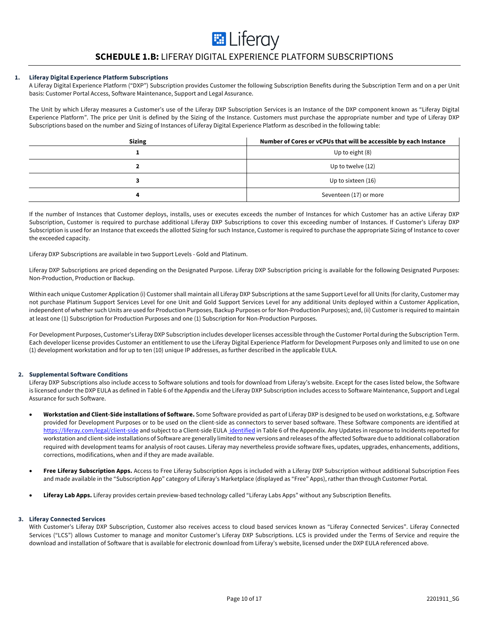# **SCHEDULE 1.B:** LIFERAY DIGITAL EXPERIENCE PLATFORM SUBSCRIPTIONS

**E** Liferay

# **1. Liferay Digital Experience Platform Subscriptions**

A Liferay Digital Experience Platform ("DXP") Subscription provides Customer the following Subscription Benefits during the Subscription Term and on a per Unit basis: Customer Portal Access, Software Maintenance, Support and Legal Assurance.

The Unit by which Liferay measures a Customer's use of the Liferay DXP Subscription Services is an Instance of the DXP component known as "Liferay Digital Experience Platform". The price per Unit is defined by the Sizing of the Instance. Customers must purchase the appropriate number and type of Liferay DXP Subscriptions based on the number and Sizing of Instances of Liferay Digital Experience Platform as described in the following table:

| <b>Sizing</b> | Number of Cores or vCPUs that will be accessible by each Instance |
|---------------|-------------------------------------------------------------------|
|               | Up to eight (8)                                                   |
|               | Up to twelve (12)                                                 |
|               | Up to sixteen (16)                                                |
|               | Seventeen (17) or more                                            |

If the number of Instances that Customer deploys, installs, uses or executes exceeds the number of Instances for which Customer has an active Liferay DXP Subscription, Customer is required to purchase additional Liferay DXP Subscriptions to cover this exceeding number of Instances. If Customer's Liferay DXP Subscription is used for an Instance that exceeds the allotted Sizing for such Instance, Customer is required to purchase the appropriate Sizing of Instance to cover the exceeded capacity.

Liferay DXP Subscriptions are available in two Support Levels - Gold and Platinum.

Liferay DXP Subscriptions are priced depending on the Designated Purpose. Liferay DXP Subscription pricing is available for the following Designated Purposes: Non-Production, Production or Backup.

Within each unique Customer Application (i) Customer shall maintain all Liferay DXP Subscriptions at the same Support Level for all Units (for clarity, Customer may not purchase Platinum Support Services Level for one Unit and Gold Support Services Level for any additional Units deployed within a Customer Application, independent of whether such Units are used for Production Purposes, Backup Purposes or for Non-Production Purposes); and, (ii) Customer is required to maintain at least one (1) Subscription for Production Purposes and one (1) Subscription for Non-Production Purposes.

For Development Purposes, Customer's Liferay DXP Subscription includes developer licenses accessible through the Customer Portal during the Subscription Term. Each developer license provides Customer an entitlement to use the Liferay Digital Experience Platform for Development Purposes only and limited to use on one (1) development workstation and for up to ten (10) unique IP addresses, as further described in the applicable EULA.

# **2. Supplemental Software Conditions**

Liferay DXP Subscriptions also include access to Software solutions and tools for download from Liferay's website. Except for the cases listed below, the Software is licensed under the DXP EULA as defined in Table 6 of the Appendix and the Liferay DXP Subscription includes access to Software Maintenance, Support and Legal Assurance for such Software.

- **Workstation and Client-Side installations of Software.** Some Software provided as part of Liferay DXP is designed to be used on workstations, e.g. Software provided for Development Purposes or to be used on the client-side as connectors to server based software. These Software components are identified at https://liferay.com/legal/client-side and subject to a Client-side EULA identified in Table 6 of the Appendix. Any Updates in response to Incidents reported for workstation and client-side installations of Software are generally limited to new versions and releases of the affected Software due to additional collaboration required with development teams for analysis of root causes. Liferay may nevertheless provide software fixes, updates, upgrades, enhancements, additions, corrections, modifications, when and if they are made available.
- **Free Liferay Subscription Apps.** Access to Free Liferay Subscription Apps is included with a Liferay DXP Subscription without additional Subscription Fees and made available in the "Subscription App" category of Liferay's Marketplace (displayed as "Free" Apps), rather than through Customer Portal.
- **Liferay Lab Apps.** Liferay provides certain preview-based technology called "Liferay Labs Apps" without any Subscription Benefits.

#### **3. Liferay Connected Services**

With Customer's Liferay DXP Subscription, Customer also receives access to cloud based services known as "Liferay Connected Services". Liferay Connected Services ("LCS") allows Customer to manage and monitor Customer's Liferay DXP Subscriptions. LCS is provided under the Terms of Service and require the download and installation of Software that is available for electronic download from Liferay's website, licensed under the DXP EULA referenced above.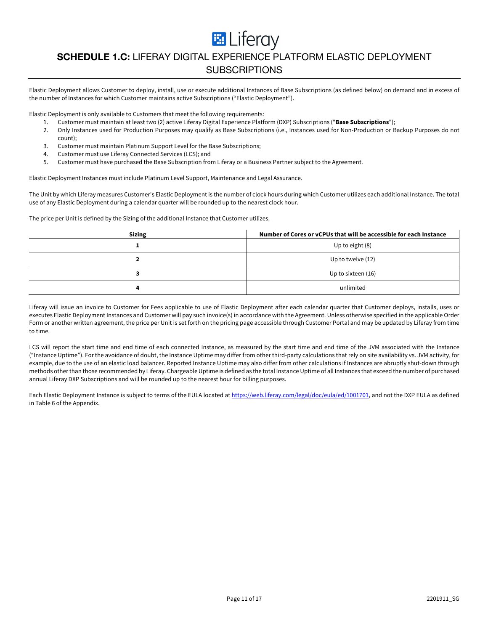**E** Liferay

# **SCHEDULE 1.C:** LIFERAY DIGITAL EXPERIENCE PLATFORM ELASTIC DEPLOYMENT **SUBSCRIPTIONS**

Elastic Deployment allows Customer to deploy, install, use or execute additional Instances of Base Subscriptions (as defined below) on demand and in excess of the number of Instances for which Customer maintains active Subscriptions ("Elastic Deployment").

Elastic Deployment is only available to Customers that meet the following requirements:

- 1. Customer must maintain at least two (2) active Liferay Digital Experience Platform (DXP) Subscriptions ("**Base Subscriptions**");
- 2. Only Instances used for Production Purposes may qualify as Base Subscriptions (i.e., Instances used for Non-Production or Backup Purposes do not count);
- 3. Customer must maintain Platinum Support Level for the Base Subscriptions;
- 4. Customer must use Liferay Connected Services (LCS); and
- 5. Customer must have purchased the Base Subscription from Liferay or a Business Partner subject to the Agreement.

Elastic Deployment Instances must include Platinum Level Support, Maintenance and Legal Assurance.

The Unit by which Liferay measures Customer's Elastic Deployment is the number of clock hours during which Customer utilizes each additional Instance. The total use of any Elastic Deployment during a calendar quarter will be rounded up to the nearest clock hour.

The price per Unit is defined by the Sizing of the additional Instance that Customer utilizes.

| <b>Sizing</b> | Number of Cores or vCPUs that will be accessible for each Instance |
|---------------|--------------------------------------------------------------------|
|               | Up to eight (8)                                                    |
|               | Up to twelve (12)                                                  |
|               | Up to sixteen (16)                                                 |
|               | unlimited                                                          |

Liferay will issue an invoice to Customer for Fees applicable to use of Elastic Deployment after each calendar quarter that Customer deploys, installs, uses or executes Elastic Deployment Instances and Customer will pay such invoice(s) in accordance with the Agreement. Unless otherwise specified in the applicable Order Form or another written agreement, the price per Unit is set forth on the pricing page accessible through Customer Portal and may be updated by Liferay from time to time.

LCS will report the start time and end time of each connected Instance, as measured by the start time and end time of the JVM associated with the Instance ("Instance Uptime"). For the avoidance of doubt, the Instance Uptime may differ from other third-party calculations that rely on site availability vs. JVM activity, for example, due to the use of an elastic load balancer. Reported Instance Uptime may also differ from other calculations if Instances are abruptly shut-down through methods other than those recommended by Liferay. Chargeable Uptime is defined as the total Instance Uptime of all Instances that exceed the number of purchased annual Liferay DXP Subscriptions and will be rounded up to the nearest hour for billing purposes.

Each Elastic Deployment Instance is subject to terms of the EULA located at https://web.liferay.com/legal/doc/eula/ed/1001701, and not the DXP EULA as defined in Table 6 of the Appendix.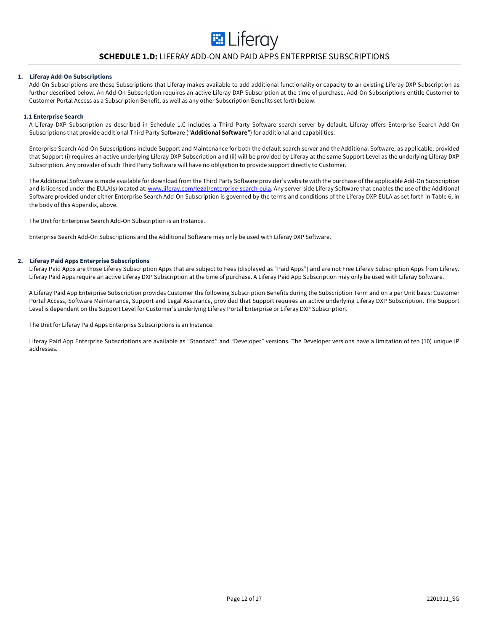# **SCHEDULE 1.D:** LIFERAY ADD-ON AND PAID APPS ENTERPRISE SUBSCRIPTIONS

**E** Liferay

#### **1. Liferay Add-On Subscriptions**

Add-On Subscriptions are those Subscriptions that Liferay makes available to add additional functionality or capacity to an existing Liferay DXP Subscription as further described below. An Add-On Subscription requires an active Liferay DXP Subscription at the time of purchase. Add-On Subscriptions entitle Customer to Customer Portal Access as a Subscription Benefit, as well as any other Subscription Benefits set forth below.

#### **1.1 Enterprise Search**

A Liferay DXP Subscription as described in Schedule 1.C includes a Third Party Software search server by default. Liferay offers Enterprise Search Add-On Subscriptions that provide additional Third Party Software ("**Additional Software**") for additional and capabilities.

Enterprise Search Add-On Subscriptions include Support and Maintenance for both the default search server and the Additional Software, as applicable, provided that Support (i) requires an active underlying Liferay DXP Subscription and (ii) will be provided by Liferay at the same Support Level as the underlying Liferay DXP Subscription. Any provider of such Third Party Software will have no obligation to provide support directly to Customer.

The Additional Software is made available for download from the Third Party Software provider's website with the purchase of the applicable Add-On Subscription and is licensed under the EULA(s) located at: www.liferay.com/legal/enterprise-search-eula. Any server-side Liferay Software that enables the use of the Additional Software provided under either Enterprise Search Add-On Subscription is governed by the terms and conditions of the Liferay DXP EULA as set forth in Table 6, in the body of this Appendix, above.

The Unit for Enterprise Search Add-On Subscription is an Instance.

Enterprise Search Add-On Subscriptions and the Additional Software may only be used with Liferay DXP Software.

#### **2. Liferay Paid Apps Enterprise Subscriptions**

Liferay Paid Apps are those Liferay Subscription Apps that are subject to Fees (displayed as "Paid Apps") and are not Free Liferay Subscription Apps from Liferay. Liferay Paid Apps require an active Liferay DXP Subscription at the time of purchase. A Liferay Paid App Subscription may only be used with Liferay Software.

A Liferay Paid App Enterprise Subscription provides Customer the following Subscription Benefits during the Subscription Term and on a per Unit basis: Customer Portal Access, Software Maintenance, Support and Legal Assurance, provided that Support requires an active underlying Liferay DXP Subscription. The Support Level is dependent on the Support Level for Customer's underlying Liferay Portal Enterprise or Liferay DXP Subscription.

The Unit for Liferay Paid Apps Enterprise Subscriptions is an Instance.

Liferay Paid App Enterprise Subscriptions are available as "Standard" and "Developer" versions. The Developer versions have a limitation of ten (10) unique IP addresses.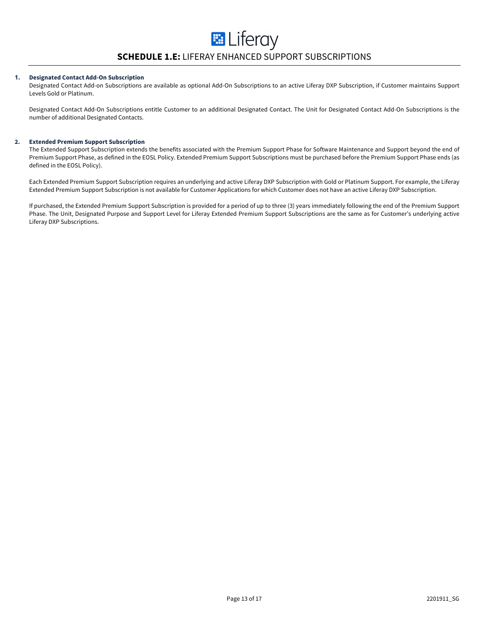# **1. Designated Contact Add-On Subscription**

Designated Contact Add-on Subscriptions are available as optional Add-On Subscriptions to an active Liferay DXP Subscription, if Customer maintains Support Levels Gold or Platinum.

Designated Contact Add-On Subscriptions entitle Customer to an additional Designated Contact. The Unit for Designated Contact Add-On Subscriptions is the number of additional Designated Contacts.

# **2. Extended Premium Support Subscription**

The Extended Support Subscription extends the benefits associated with the Premium Support Phase for Software Maintenance and Support beyond the end of Premium Support Phase, as defined in the EOSL Policy. Extended Premium Support Subscriptions must be purchased before the Premium Support Phase ends (as defined in the EOSL Policy).

Each Extended Premium Support Subscription requires an underlying and active Liferay DXP Subscription with Gold or Platinum Support. For example, the Liferay Extended Premium Support Subscription is not available for Customer Applications for which Customer does not have an active Liferay DXP Subscription.

If purchased, the Extended Premium Support Subscription is provided for a period of up to three (3) years immediately following the end of the Premium Support Phase. The Unit, Designated Purpose and Support Level for Liferay Extended Premium Support Subscriptions are the same as for Customer's underlying active Liferay DXP Subscriptions.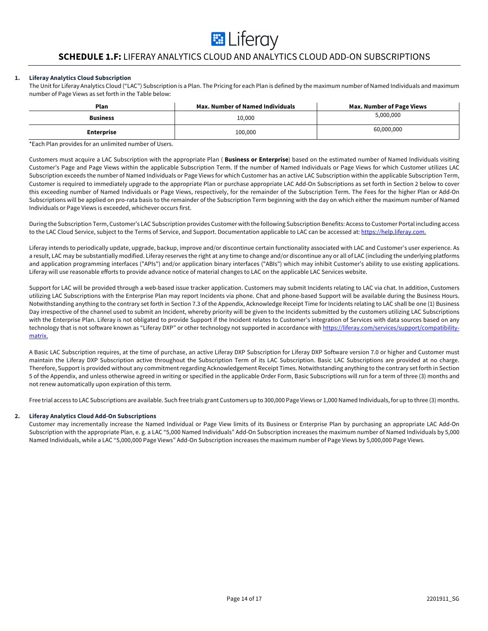# **E** Liferay

# **SCHEDULE 1.F:** LIFERAY ANALYTICS CLOUD AND ANALYTICS CLOUD ADD-ON SUBSCRIPTIONS

# **1. Liferay Analytics Cloud Subscription**

The Unit for Liferay Analytics Cloud ("LAC") Subscription is a Plan. The Pricing for each Plan is defined by the maximum number of Named Individuals and maximum number of Page Views as set forth in the Table below:

| Plan              | <b>Max. Number of Named Individuals</b> | <b>Max. Number of Page Views</b> |
|-------------------|-----------------------------------------|----------------------------------|
| <b>Business</b>   | 10,000                                  | 5,000,000                        |
| <b>Enterprise</b> | 100,000                                 | 60,000,000                       |

\*Each Plan provides for an unlimited number of Users.

Customers must acquire a LAC Subscription with the appropriate Plan ( **Business or Enterprise**) based on the estimated number of Named Individuals visiting Customer's Page and Page Views within the applicable Subscription Term. If the number of Named Individuals or Page Views for which Customer utilizes LAC Subscription exceeds the number of Named Individuals or Page Views for which Customer has an active LAC Subscription within the applicable Subscription Term, Customer is required to immediately upgrade to the appropriate Plan or purchase appropriate LAC Add-On Subscriptions as set forth in Section 2 below to cover this exceeding number of Named Individuals or Page Views, respectively, for the remainder of the Subscription Term. The Fees for the higher Plan or Add-On Subscriptions will be applied on pro-rata basis to the remainder of the Subscription Term beginning with the day on which either the maximum number of Named Individuals or Page Views is exceeded, whichever occurs first.

During the Subscription Term, Customer's LAC Subscription provides Customer with the following Subscription Benefits: Access to Customer Portal including access to the LAC Cloud Service, subject to the Terms of Service, and Support. Documentation applicable to LAC can be accessed at: https://help.liferay.com.

Liferay intends to periodically update, upgrade, backup, improve and/or discontinue certain functionality associated with LAC and Customer's user experience. As a result, LAC may be substantially modified. Liferay reserves the right at any time to change and/or discontinue any or all of LAC (including the underlying platforms and application programming interfaces ("APIs") and/or application binary interfaces ("ABIs") which may inhibit Customer's ability to use existing applications. Liferay will use reasonable efforts to provide advance notice of material changes to LAC on the applicable LAC Services website.

Support for LAC will be provided through a web-based issue tracker application. Customers may submit Incidents relating to LAC via chat. In addition, Customers utilizing LAC Subscriptions with the Enterprise Plan may report Incidents via phone. Chat and phone-based Support will be available during the Business Hours. Notwithstanding anything to the contrary set forth in Section 7.3 of the Appendix, Acknowledge Receipt Time for Incidents relating to LAC shall be one (1) Business Day irrespective of the channel used to submit an Incident, whereby priority will be given to the Incidents submitted by the customers utilizing LAC Subscriptions with the Enterprise Plan. Liferay is not obligated to provide Support if the Incident relates to Customer's integration of Services with data sources based on any technology that is not software known as "Liferay DXP" or other technology not supported in accordance with https://liferay.com/services/support/compatibilitymatrix.

A Basic LAC Subscription requires, at the time of purchase, an active Liferay DXP Subscription for Liferay DXP Software version 7.0 or higher and Customer must maintain the Liferay DXP Subscription active throughout the Subscription Term of its LAC Subscription. Basic LAC Subscriptions are provided at no charge. Therefore, Support is provided without any commitment regarding Acknowledgement Receipt Times. Notwithstanding anything to the contrary set forth in Section 5 of the Appendix, and unless otherwise agreed in writing or specified in the applicable Order Form, Basic Subscriptions will run for a term of three (3) months and not renew automatically upon expiration of this term.

Free trial access to LAC Subscriptions are available. Such free trials grant Customers up to 300,000 Page Views or 1,000 Named Individuals, for up to three (3) months.

# **2. Liferay Analytics Cloud Add-On Subscriptions**

Customer may incrementally increase the Named Individual or Page View limits of its Business or Enterprise Plan by purchasing an appropriate LAC Add-On Subscription with the appropriate Plan, e. g. a LAC "5,000 Named Individuals" Add-On Subscription increases the maximum number of Named Individuals by 5,000 Named Individuals, while a LAC "5,000,000 Page Views" Add-On Subscription increases the maximum number of Page Views by 5,000,000 Page Views.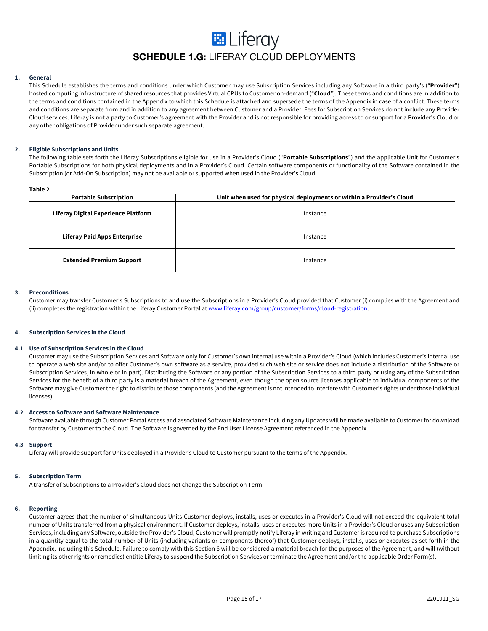# **E** Liferay **SCHEDULE 1.G:** LIFERAY CLOUD DEPLOYMENTS

# **1. General**

This Schedule establishes the terms and conditions under which Customer may use Subscription Services including any Software in a third party's ("**Provider**") hosted computing infrastructure of shared resources that provides Virtual CPUs to Customer on-demand ("**Cloud**"). These terms and conditions are in addition to the terms and conditions contained in the Appendix to which this Schedule is attached and supersede the terms of the Appendix in case of a conflict. These terms and conditions are separate from and in addition to any agreement between Customer and a Provider. Fees for Subscription Services do not include any Provider Cloud services. Liferay is not a party to Customer's agreement with the Provider and is not responsible for providing access to or support for a Provider's Cloud or any other obligations of Provider under such separate agreement.

# **2. Eligible Subscriptions and Units**

The following table sets forth the Liferay Subscriptions eligible for use in a Provider's Cloud ("**Portable Subscriptions**") and the applicable Unit for Customer's Portable Subscriptions for both physical deployments and in a Provider's Cloud. Certain software components or functionality of the Software contained in the Subscription (or Add-On Subscription) may not be available or supported when used in the Provider's Cloud.

| ۰,<br>×<br>۰, |  |
|---------------|--|
|---------------|--|

| .<br><b>Portable Subscription</b>   | Unit when used for physical deployments or within a Provider's Cloud |
|-------------------------------------|----------------------------------------------------------------------|
| Liferay Digital Experience Platform | Instance                                                             |
| <b>Liferay Paid Apps Enterprise</b> | Instance                                                             |
| <b>Extended Premium Support</b>     | Instance                                                             |

#### **3. Preconditions**

Customer may transfer Customer's Subscriptions to and use the Subscriptions in a Provider's Cloud provided that Customer (i) complies with the Agreement and (ii) completes the registration within the Liferay Customer Portal at www.liferay.com/group/customer/forms/cloud-registration.

#### **4. Subscription Services in the Cloud**

#### **4.1 Use of Subscription Services in the Cloud**

Customer may use the Subscription Services and Software only for Customer's own internal use within a Provider's Cloud (which includes Customer's internal use to operate a web site and/or to offer Customer's own software as a service, provided such web site or service does not include a distribution of the Software or Subscription Services, in whole or in part). Distributing the Software or any portion of the Subscription Services to a third party or using any of the Subscription Services for the benefit of a third party is a material breach of the Agreement, even though the open source licenses applicable to individual components of the Software may give Customer the right to distribute those components (and the Agreement is not intended to interfere with Customer's rights under those individual licenses).

### **4.2 Access to Software and Software Maintenance**

Software available through Customer Portal Access and associated Software Maintenance including any Updates will be made available to Customer for download for transfer by Customer to the Cloud. The Software is governed by the End User License Agreement referenced in the Appendix.

#### **4.3 Support**

Liferay will provide support for Units deployed in a Provider's Cloud to Customer pursuant to the terms of the Appendix.

#### **5. Subscription Term**

A transfer of Subscriptions to a Provider's Cloud does not change the Subscription Term.

#### **6. Reporting**

Customer agrees that the number of simultaneous Units Customer deploys, installs, uses or executes in a Provider's Cloud will not exceed the equivalent total number of Units transferred from a physical environment. If Customer deploys, installs, uses or executes more Units in a Provider's Cloud or uses any Subscription Services, including any Software, outside the Provider's Cloud, Customer will promptly notify Liferay in writing and Customer is required to purchase Subscriptions in a quantity equal to the total number of Units (including variants or components thereof) that Customer deploys, installs, uses or executes as set forth in the Appendix, including this Schedule. Failure to comply with this Section 6 will be considered a material breach for the purposes of the Agreement, and will (without limiting its other rights or remedies) entitle Liferay to suspend the Subscription Services or terminate the Agreement and/or the applicable Order Form(s).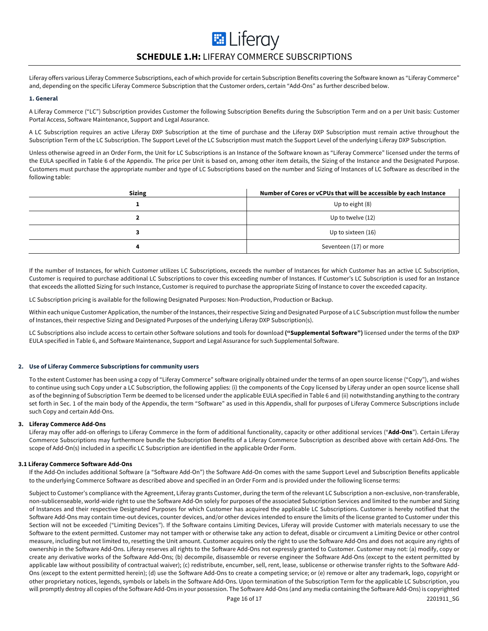# **E** Liferay **SCHEDULE 1.H:** LIFERAY COMMERCE SUBSCRIPTIONS

Liferay offers various Liferay Commerce Subscriptions, each of which provide for certain Subscription Benefits covering the Software known as "Liferay Commerce" and, depending on the specific Liferay Commerce Subscription that the Customer orders, certain "Add-Ons" as further described below.

### **1. General**

A Liferay Commerce ("LC") Subscription provides Customer the following Subscription Benefits during the Subscription Term and on a per Unit basis: Customer Portal Access, Software Maintenance, Support and Legal Assurance.

A LC Subscription requires an active Liferay DXP Subscription at the time of purchase and the Liferay DXP Subscription must remain active throughout the Subscription Term of the LC Subscription. The Support Level of the LC Subscription must match the Support Level of the underlying Liferay DXP Subscription.

Unless otherwise agreed in an Order Form, the Unit for LC Subscriptions is an Instance of the Software known as "Liferay Commerce" licensed under the terms of the EULA specified in Table 6 of the Appendix. The price per Unit is based on, among other item details, the Sizing of the Instance and the Designated Purpose. Customers must purchase the appropriate number and type of LC Subscriptions based on the number and Sizing of Instances of LC Software as described in the following table:

| <b>Sizing</b> | Number of Cores or vCPUs that will be accessible by each Instance |
|---------------|-------------------------------------------------------------------|
|               | Up to eight (8)                                                   |
|               | Up to twelve (12)                                                 |
|               | Up to sixteen (16)                                                |
| л             | Seventeen (17) or more                                            |

If the number of Instances, for which Customer utilizes LC Subscriptions, exceeds the number of Instances for which Customer has an active LC Subscription, Customer is required to purchase additional LC Subscriptions to cover this exceeding number of Instances. If Customer's LC Subscription is used for an Instance that exceeds the allotted Sizing for such Instance, Customer is required to purchase the appropriate Sizing of Instance to cover the exceeded capacity.

LC Subscription pricing is available for the following Designated Purposes: Non-Production, Production or Backup.

Within each unique Customer Application, the number of the Instances, their respective Sizing and Designated Purpose of a LC Subscription must follow the number of Instances, their respective Sizing and Designated Purposes of the underlying Liferay DXP Subscription(s).

LC Subscriptions also include access to certain other Software solutions and tools for download **("Supplemental Software")** licensed under the terms of the DXP EULA specified in Table 6, and Software Maintenance, Support and Legal Assurance for such Supplemental Software.

# **2. Use of Liferay Commerce Subscriptions for community users**

To the extent Customer has been using a copy of "Liferay Commerce" software originally obtained under the terms of an open source license ("Copy"), and wishes to continue using such Copy under a LC Subscription, the following applies: (i) the components of the Copy licensed by Liferay under an open source license shall as of the beginning of Subscription Term be deemed to be licensed under the applicable EULA specified in Table 6 and (ii) notwithstanding anything to the contrary set forth in Sec. 1 of the main body of the Appendix, the term "Software" as used in this Appendix, shall for purposes of Liferay Commerce Subscriptions include such Copy and certain Add-Ons.

### **3. Liferay Commerce Add-Ons**

Liferay may offer add-on offerings to Liferay Commerce in the form of additional functionality, capacity or other additional services ("**Add-Ons**"). Certain Liferay Commerce Subscriptions may furthermore bundle the Subscription Benefits of a Liferay Commerce Subscription as described above with certain Add-Ons. The scope of Add-On(s) included in a specific LC Subscription are identified in the applicable Order Form.

# **3.1 Liferay Commerce Software Add-Ons**

If the Add-On includes additional Software (a "Software Add-On") the Software Add-On comes with the same Support Level and Subscription Benefits applicable to the underlying Commerce Software as described above and specified in an Order Form and is provided under the following license terms:

Subject to Customer's compliance with the Agreement, Liferay grants Customer, during the term of the relevant LC Subscription a non-exclusive, non-transferable, non-sublicenseable, world-wide right to use the Software Add-On solely for purposes of the associated Subscription Services and limited to the number and Sizing of Instances and their respective Designated Purposes for which Customer has acquired the applicable LC Subscriptions. Customer is hereby notified that the Software Add-Ons may contain time-out devices, counter devices, and/or other devices intended to ensure the limits of the license granted to Customer under this Section will not be exceeded ("Limiting Devices"). If the Software contains Limiting Devices, Liferay will provide Customer with materials necessary to use the Software to the extent permitted. Customer may not tamper with or otherwise take any action to defeat, disable or circumvent a Limiting Device or other control measure, including but not limited to, resetting the Unit amount. Customer acquires only the right to use the Software Add-Ons and does not acquire any rights of ownership in the Software Add-Ons. Liferay reserves all rights to the Software Add-Ons not expressly granted to Customer. Customer may not: (a) modify, copy or create any derivative works of the Software Add-Ons; (b) decompile, disassemble or reverse engineer the Software Add-Ons (except to the extent permitted by applicable law without possibility of contractual waiver); (c) redistribute, encumber, sell, rent, lease, sublicense or otherwise transfer rights to the Software Add-Ons (except to the extent permitted herein); (d) use the Software Add-Ons to create a competing service; or (e) remove or alter any trademark, logo, copyright or other proprietary notices, legends, symbols or labels in the Software Add-Ons. Upon termination of the Subscription Term for the applicable LC Subscription, you will promptly destroy all copies of the Software Add-Ons in your possession. The Software Add-Ons (and any media containing the Software Add-Ons) is copyrighted